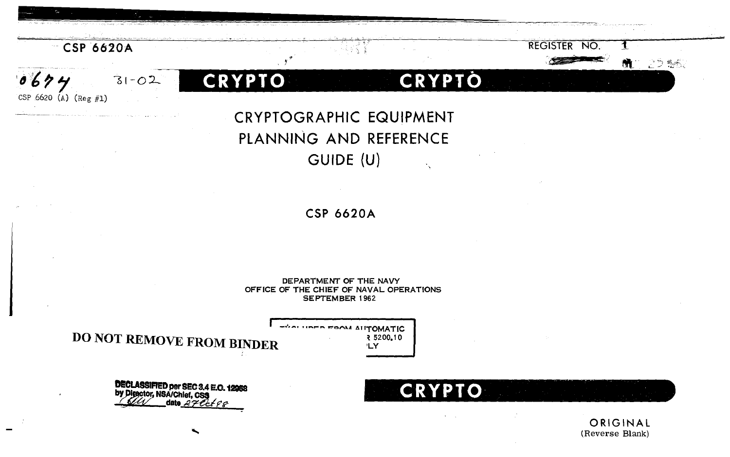

 $31 - 02$ 

 $0694$ 

CSP 6620 (A)  $(\text{Reg } \#1)$ 

**CRYPTO** 

CRYPTOGRAPHIC EQUIPMENT PLANNING AND REFERENCE GUIDE (U)

CRYPTO

**CSP 6620A** 

DEPARTMENT OF THE NAVY OFFICE OF THE CHIEF OF NAVAL OPERATIONS **SEPTEMBER 1962** 

**DO NOT REMOVE FROM BINDER** 

- SALUTED FOOM AUTOMATIC 3 5200.10 'LY

**DECLASSIFIED per SEC 3.4 E.O. 12958**<br>by Director, NSA/Chief, CSS date  $2706690$ 

**CRYPTO** 

**REGISTER NO.** 

こつ 腹流

ORIGINAL (Reverse Blank)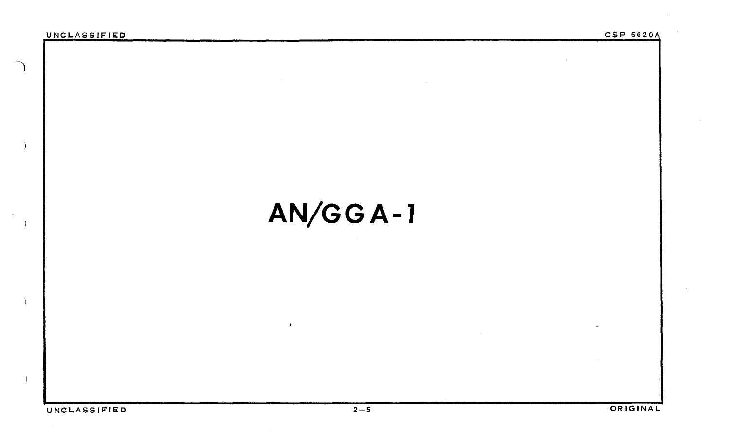)

## **AN/GGA-1**

 $\bullet$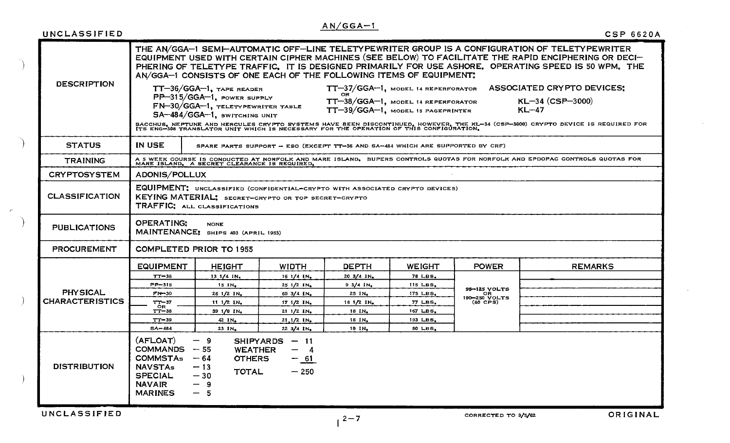|  | UNCLASSIFIED                                                                                                                                                                                                                                                                                              |                                                                                                                                                                                                                                                                                                                                                                                      |                                                                                                                                |                            |                                   |                     |                                                   | <b>CSP 6620A</b>                                                                                                                |
|--|-----------------------------------------------------------------------------------------------------------------------------------------------------------------------------------------------------------------------------------------------------------------------------------------------------------|--------------------------------------------------------------------------------------------------------------------------------------------------------------------------------------------------------------------------------------------------------------------------------------------------------------------------------------------------------------------------------------|--------------------------------------------------------------------------------------------------------------------------------|----------------------------|-----------------------------------|---------------------|---------------------------------------------------|---------------------------------------------------------------------------------------------------------------------------------|
|  | <b>DESCRIPTION</b>                                                                                                                                                                                                                                                                                        | THE AN/GGA-1 SEMI-AUTOMATIC OFF-LINE TELETYPEWRITER GROUP IS A CONFIGURATION OF TELETYPEWRITER<br>EQUIPMENT USED WITH CERTAIN CIPHER MACHINES (SEE BELOW) TO FACILITATE THE RAPID ENCIPHERING OR DECI-<br>PHERING OF TELETYPE TRAFFIC. IT IS DESIGNED PRIMARILY FOR USE ASHORE. OPERATING SPEED IS 50 WPM. THE<br>AN/GGA-1 CONSISTS OF ONE EACH OF THE FOLLOWING ITEMS OF EQUIPMENT. |                                                                                                                                |                            |                                   |                     |                                                   |                                                                                                                                 |
|  |                                                                                                                                                                                                                                                                                                           |                                                                                                                                                                                                                                                                                                                                                                                      | $TT-36/GGA-1$ , TAPE READER<br>PP-315/GGA-1, POWER SUPPLY<br>FN-30/GGA-1, TELETYPEWRITER TABLE<br>SA-484/GGA-1, SWITCHING UNIT |                            | TT-39/GGA-1, MODEL 15 PAGEPRINTER |                     |                                                   | TT-37/GGA-1, MODEL 14 REPERFORATOR ASSOCIATED CRYPTO DEVICES:<br>TT-38/GGA-1, MODEL 14 REPERFORATOR KL-34 (CSP-3000)<br>$KL-47$ |
|  |                                                                                                                                                                                                                                                                                                           | BACCHUS, NEPTUNE AND HERCULES CRYPTO SYSTEMS HAVE BEEN DISCONTINUED, HOWEVER, THE KL-34 (CSP-3000) CRYPTO DEVICE IS REQUIRED FOR<br>ITS ENG-308 TRANSLATOR UNIT WHICH IS NECESSARY FOR THE OPERATION OF THIS CONFIGURATION.                                                                                                                                                          |                                                                                                                                |                            |                                   |                     |                                                   |                                                                                                                                 |
|  | <b>STATUS</b>                                                                                                                                                                                                                                                                                             | IN USE<br>SPARE PARTS SUPPORT - ESO (EXCEPT TT-36 AND SA-484 WHICH ARE SUPPORTED BY CRF)                                                                                                                                                                                                                                                                                             |                                                                                                                                |                            |                                   |                     |                                                   |                                                                                                                                 |
|  | <b>TRAINING</b>                                                                                                                                                                                                                                                                                           |                                                                                                                                                                                                                                                                                                                                                                                      |                                                                                                                                |                            |                                   |                     |                                                   |                                                                                                                                 |
|  | <b>CRYPTOSYSTEM</b>                                                                                                                                                                                                                                                                                       | ADONIS/POLLUX                                                                                                                                                                                                                                                                                                                                                                        |                                                                                                                                |                            |                                   |                     |                                                   |                                                                                                                                 |
|  | <b>CLASSIFICATION</b>                                                                                                                                                                                                                                                                                     | EQUIPMENT: UNCLASSIFIED (CONFIDENTIAL-CRYPTO WITH ASSOCIATED CRYPTO DEVICES)<br>KEYING MATERIAL: SECRET-CRYPTO OR TOP SECRET-CRYPTO<br>TRAFFIC: ALL CLASSIFICATIONS                                                                                                                                                                                                                  |                                                                                                                                |                            |                                   |                     |                                                   |                                                                                                                                 |
|  | <b>PUBLICATIONS</b>                                                                                                                                                                                                                                                                                       | <b>OPERATING:</b><br><b>NONE</b><br>MAINTENANCE: SHIPS 403 (APRIL 1953)                                                                                                                                                                                                                                                                                                              |                                                                                                                                |                            |                                   |                     |                                                   |                                                                                                                                 |
|  | <b>PROCUREMENT</b>                                                                                                                                                                                                                                                                                        | <b>COMPLETED PRIOR TO 1955</b>                                                                                                                                                                                                                                                                                                                                                       |                                                                                                                                |                            |                                   |                     |                                                   |                                                                                                                                 |
|  | <b>PHYSICAL</b><br><b>CHARACTERISTICS</b>                                                                                                                                                                                                                                                                 | <b>EQUIPMENT</b>                                                                                                                                                                                                                                                                                                                                                                     | <b>HEIGHT</b>                                                                                                                  | <b>WIDTH</b>               | <b>DEPTH</b>                      | WEIGHT              | <b>POWER</b>                                      | <b>REMARKS</b>                                                                                                                  |
|  |                                                                                                                                                                                                                                                                                                           | $TT-36$                                                                                                                                                                                                                                                                                                                                                                              | 131/41N <sub>n</sub>                                                                                                           | 161/41N                    | $20 \frac{3}{4}$ $1N_e$           | 78 LBS.             | 95-125 VOLTS<br>OR<br>190-250 VOLTS<br>$(60$ CPS) |                                                                                                                                 |
|  |                                                                                                                                                                                                                                                                                                           | <b>PP-315</b>                                                                                                                                                                                                                                                                                                                                                                        | 15 IN.                                                                                                                         | 25 1/2 IN.                 | $9.3/4$ IN.                       | 115 LBS.            |                                                   |                                                                                                                                 |
|  |                                                                                                                                                                                                                                                                                                           | <b>FN-30</b>                                                                                                                                                                                                                                                                                                                                                                         | $261/21N_a$                                                                                                                    | 60 3/4 IN.                 | $25$ $1N_e$                       | 175 LBS.            |                                                   |                                                                                                                                 |
|  |                                                                                                                                                                                                                                                                                                           | $T - 37$<br>OR.                                                                                                                                                                                                                                                                                                                                                                      | $111/21N_e$                                                                                                                    | 17 1/2 IN.                 | 161/21N <sub>n</sub>              | <b>77 LBS.</b>      |                                                   |                                                                                                                                 |
|  |                                                                                                                                                                                                                                                                                                           | $TT - 38$                                                                                                                                                                                                                                                                                                                                                                            | 39 1/8 IN.                                                                                                                     | 211/21N <sub>0</sub>       | 18 IN.                            | 167 LBS.            |                                                   |                                                                                                                                 |
|  |                                                                                                                                                                                                                                                                                                           | $TT - 39$<br>SA-484                                                                                                                                                                                                                                                                                                                                                                  | 42 IN.<br>23 IN.                                                                                                               | $21,1/2$ IN.<br>22 3/4 IN. | 18 IN.<br>19 IN.                  | 193 LBS.<br>80 LBS. |                                                   |                                                                                                                                 |
|  | (AFLOAT)<br>$-9$<br>$SHIPYARDS - 11$<br><b>COMMANDS</b><br>$-55$<br><b>WEATHER</b><br>— 4<br><b>COMMSTAs</b><br>$-64$<br><b>OTHERS</b><br>$-61$<br><b>DISTRIBUTION</b><br><b>NAVSTAs</b><br>$-13$<br><b>TOTAL</b><br>$-250$<br><b>SPECIAL</b><br>$-30$<br><b>NAVAIR</b><br>$-9$<br><b>MARINES</b><br>$-5$ |                                                                                                                                                                                                                                                                                                                                                                                      |                                                                                                                                |                            |                                   |                     |                                                   |                                                                                                                                 |
|  | <b>UNCLASSIFIED</b>                                                                                                                                                                                                                                                                                       |                                                                                                                                                                                                                                                                                                                                                                                      |                                                                                                                                |                            | $2 - 7$                           |                     | CORRECTED TO 9/5/62                               | ORIGINAL                                                                                                                        |

 $AN/GGA-1$ 

 $\mathcal{P}$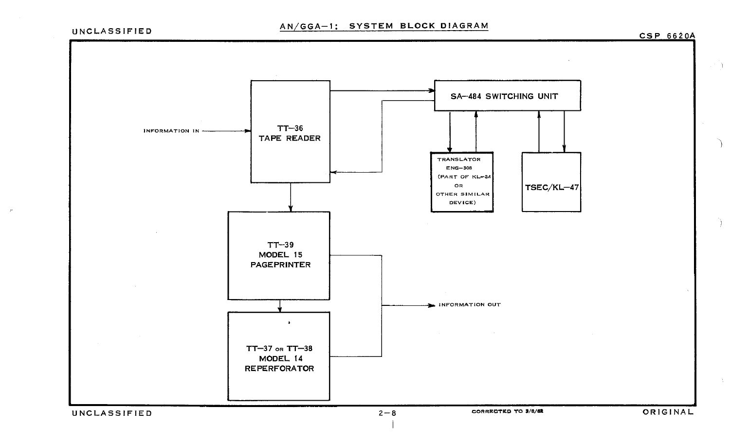CSP 66 20A

 $\mathbb{R}^2$  ).



 $\mathbf{I}$